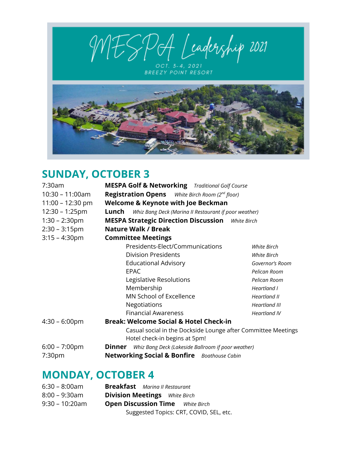MESPOA Leadership 2021

OCT. 3-4, 2021<br>BREEZY POINT RESORT



## **SUNDAY, OCTOBER 3**

| 7:30am                  | <b>MESPA Golf &amp; Networking</b> Traditional Golf Course                                     |                     |  |  |
|-------------------------|------------------------------------------------------------------------------------------------|---------------------|--|--|
| $10:30 - 11:00am$       | <b>Registration Opens</b> White Birch Room (2 <sup>nd</sup> floor)                             |                     |  |  |
| $11:00 - 12:30$ pm      | <b>Welcome &amp; Keynote with Joe Beckman</b>                                                  |                     |  |  |
| $12:30 - 1:25$ pm       | Lunch<br>Whiz Bang Deck (Marina II Restaurant if poor weather)                                 |                     |  |  |
| $1:30 - 2:30$ pm        | <b>MESPA Strategic Direction Discussion</b> White Birch                                        |                     |  |  |
| $2:30 - 3:15$ pm        | <b>Nature Walk / Break</b>                                                                     |                     |  |  |
| $3:15 - 4:30$ pm        | <b>Committee Meetings</b>                                                                      |                     |  |  |
|                         | Presidents-Elect/Communications                                                                | <b>White Birch</b>  |  |  |
|                         | <b>Division Presidents</b>                                                                     | <b>White Birch</b>  |  |  |
|                         | <b>Educational Advisory</b>                                                                    | Governor's Room     |  |  |
|                         | <b>EPAC</b>                                                                                    | Pelican Room        |  |  |
|                         | Legislative Resolutions                                                                        | Pelican Room        |  |  |
|                         | Membership                                                                                     | Heartland I         |  |  |
|                         | MN School of Excellence                                                                        | Heartland II        |  |  |
|                         | Negotiations                                                                                   | Heartland III       |  |  |
|                         | <b>Financial Awareness</b>                                                                     | <b>Heartland IV</b> |  |  |
| $4:30 - 6:00 \text{pm}$ | <b>Break: Welcome Social &amp; Hotel Check-in</b>                                              |                     |  |  |
|                         | Casual social in the Dockside Lounge after Committee Meetings<br>Hotel check-in begins at 5pm! |                     |  |  |
| $6:00 - 7:00 \text{pm}$ | Whiz Bang Deck (Lakeside Ballroom if poor weather)<br><b>Dinner</b>                            |                     |  |  |
| 7:30 <sub>pm</sub>      | <b>Networking Social &amp; Bonfire</b> Boathouse Cabin                                         |                     |  |  |

## **MONDAY, OCTOBER 4**

| $6:30 - 8:00am$   | <b>Breakfast</b> Marina II Restaurant   |
|-------------------|-----------------------------------------|
| $8:00 - 9:30$ am  | <b>Division Meetings</b> White Birch    |
| $9:30 - 10:20$ am | <b>Open Discussion Time</b> White Birch |
|                   | Suggested Topics: CRT, COVID, SEL, etc. |